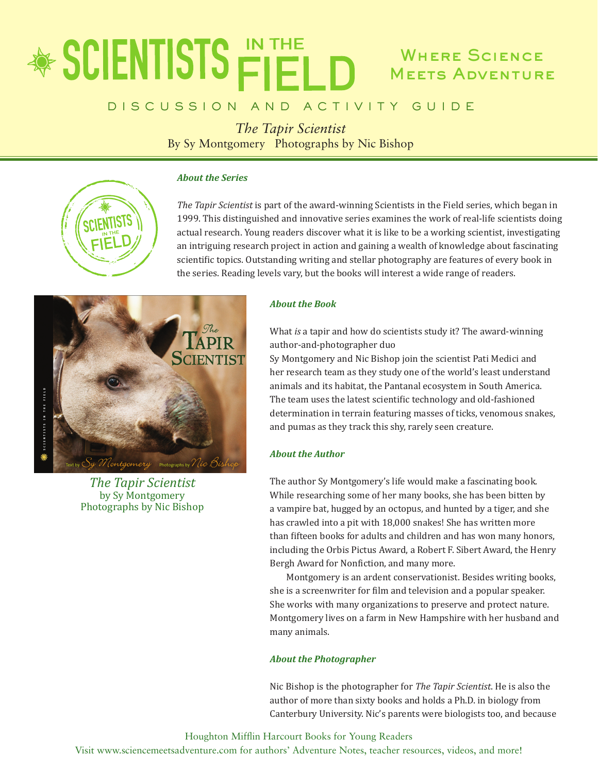# Where Science Meets Adventure

### D I S C U S S I O N A N D A C T I V I T Y G U I D E

*The Tapir Scientist* By Sy Montgomery Photographs by Nic Bishop

#### *About the Series*



*The Tapir Scientist* is part of the award-winning Scientists in the Field series, which began in 1999. This distinguished and innovative series examines the work of real-life scientists doing actual research. Young readers discover what it is like to be a working scientist, investigating an intriguing research project in action and gaining a wealth of knowledge about fascinating scientific topics. Outstanding writing and stellar photography are features of every book in the series. Reading levels vary, but the books will interest a wide range of readers.



*The Tapir Scientist* by Sy Montgomery Photographs by Nic Bishop

#### *About the Book*

What *is* a tapir and how do scientists study it? The award-winning author-and-photographer duo

Sy Montgomery and Nic Bishop join the scientist Pati Medici and her research team as they study one of the world's least understand animals and its habitat, the Pantanal ecosystem in South America. The team uses the latest scientific technology and old-fashioned determination in terrain featuring masses of ticks, venomous snakes, and pumas as they track this shy, rarely seen creature.

#### *About the Author*

The author Sy Montgomery's life would make a fascinating book. While researching some of her many books, she has been bitten by a vampire bat, hugged by an octopus, and hunted by a tiger, and she has crawled into a pit with 18,000 snakes! She has written more than fifteen books for adults and children and has won many honors, including the Orbis Pictus Award, a Robert F. Sibert Award, the Henry Bergh Award for Nonfiction, and many more.

Montgomery is an ardent conservationist. Besides writing books, she is a screenwriter for film and television and a popular speaker. She works with many organizations to preserve and protect nature. Montgomery lives on a farm in New Hampshire with her husband and many animals.

#### *About the Photographer*

Nic Bishop is the photographer for *The Tapir Scientist*. He is also the author of more than sixty books and holds a Ph.D. in biology from Canterbury University. Nic's parents were biologists too, and because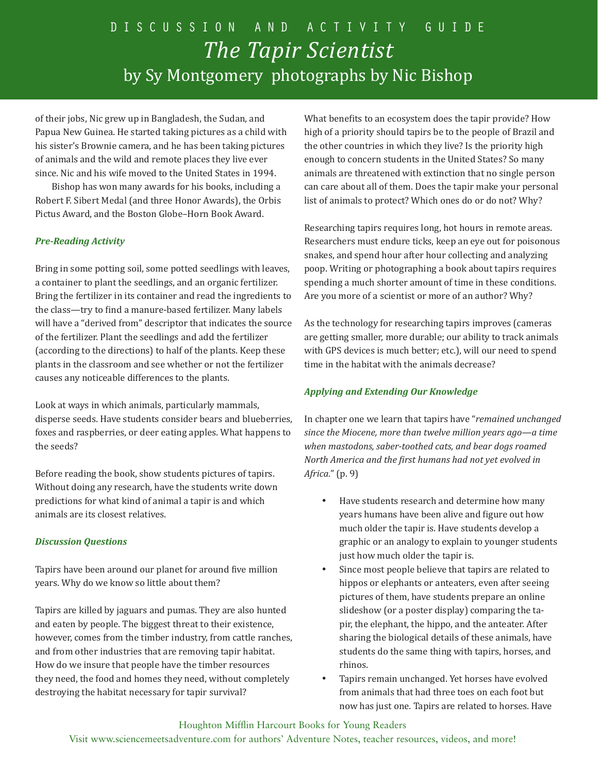of their jobs, Nic grew up in Bangladesh, the Sudan, and Papua New Guinea. He started taking pictures as a child with his sister's Brownie camera, and he has been taking pictures of animals and the wild and remote places they live ever since. Nic and his wife moved to the United States in 1994.

Bishop has won many awards for his books, including a Robert F. Sibert Medal (and three Honor Awards), the Orbis Pictus Award, and the Boston Globe–Horn Book Award.

#### *Pre-Reading Activity*

Bring in some potting soil, some potted seedlings with leaves, a container to plant the seedlings, and an organic fertilizer. Bring the fertilizer in its container and read the ingredients to the class—try to find a manure-based fertilizer. Many labels will have a "derived from" descriptor that indicates the source of the fertilizer. Plant the seedlings and add the fertilizer (according to the directions) to half of the plants. Keep these plants in the classroom and see whether or not the fertilizer causes any noticeable differences to the plants.

Look at ways in which animals, particularly mammals, disperse seeds. Have students consider bears and blueberries, foxes and raspberries, or deer eating apples. What happens to the seeds?

Before reading the book, show students pictures of tapirs. Without doing any research, have the students write down predictions for what kind of animal a tapir is and which animals are its closest relatives.

#### *Discussion Questions*

Tapirs have been around our planet for around five million years. Why do we know so little about them?

Tapirs are killed by jaguars and pumas. They are also hunted and eaten by people. The biggest threat to their existence, however, comes from the timber industry, from cattle ranches, and from other industries that are removing tapir habitat. How do we insure that people have the timber resources they need, the food and homes they need, without completely destroying the habitat necessary for tapir survival?

What benefits to an ecosystem does the tapir provide? How high of a priority should tapirs be to the people of Brazil and the other countries in which they live? Is the priority high enough to concern students in the United States? So many animals are threatened with extinction that no single person can care about all of them. Does the tapir make your personal list of animals to protect? Which ones do or do not? Why?

Researching tapirs requires long, hot hours in remote areas. Researchers must endure ticks, keep an eye out for poisonous snakes, and spend hour after hour collecting and analyzing poop. Writing or photographing a book about tapirs requires spending a much shorter amount of time in these conditions. Are you more of a scientist or more of an author? Why?

As the technology for researching tapirs improves (cameras are getting smaller, more durable; our ability to track animals with GPS devices is much better; etc.), will our need to spend time in the habitat with the animals decrease?

#### *Applying and Extending Our Knowledge*

In chapter one we learn that tapirs have "*remained unchanged since the Miocene, more than twelve million years ago—a time when mastodons, saber-toothed cats, and bear dogs roamed North America and the first humans had not yet evolved in Africa.*" (p. 9)

- Have students research and determine how many years humans have been alive and figure out how much older the tapir is. Have students develop a graphic or an analogy to explain to younger students just how much older the tapir is.
- Since most people believe that tapirs are related to hippos or elephants or anteaters, even after seeing pictures of them, have students prepare an online slideshow (or a poster display) comparing the tapir, the elephant, the hippo, and the anteater. After sharing the biological details of these animals, have students do the same thing with tapirs, horses, and rhinos.
- Tapirs remain unchanged. Yet horses have evolved from animals that had three toes on each foot but now has just one. Tapirs are related to horses. Have

Houghton Mifflin Harcourt Books for Young Readers Visit www.sciencemeetsadventure.com for authors' Adventure Notes, teacher resources, videos, and more!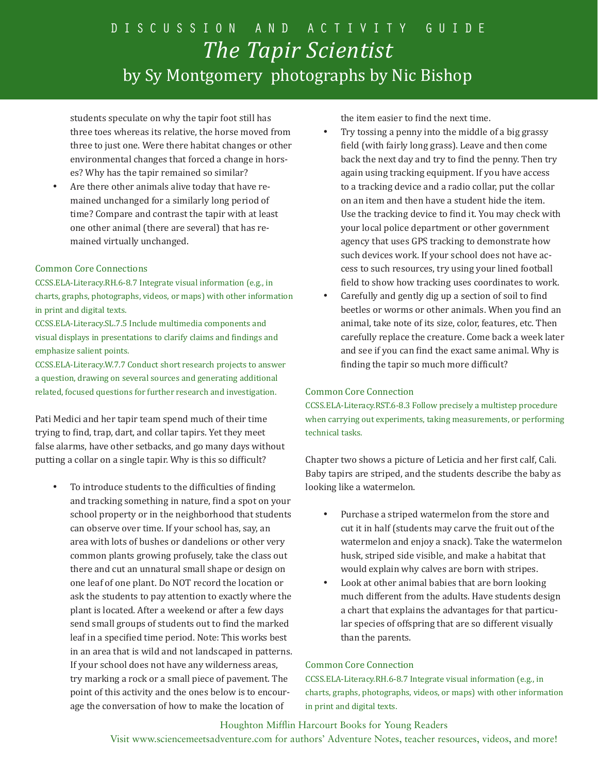students speculate on why the tapir foot still has three toes whereas its relative, the horse moved from three to just one. Were there habitat changes or other environmental changes that forced a change in horses? Why has the tapir remained so similar?

Are there other animals alive today that have remained unchanged for a similarly long period of time? Compare and contrast the tapir with at least one other animal (there are several) that has remained virtually unchanged.

#### Common Core Connections

CCSS.ELA-Literacy.RH.6-8.7 Integrate visual information (e.g., in charts, graphs, photographs, videos, or maps) with other information in print and digital texts.

CCSS.ELA-Literacy.SL.7.5 Include multimedia components and visual displays in presentations to clarify claims and findings and emphasize salient points.

CCSS.ELA-Literacy.W.7.7 Conduct short research projects to answer a question, drawing on several sources and generating additional related, focused questions for further research and investigation.

Pati Medici and her tapir team spend much of their time trying to find, trap, dart, and collar tapirs. Yet they meet false alarms, have other setbacks, and go many days without putting a collar on a single tapir. Why is this so difficult?

To introduce students to the difficulties of finding and tracking something in nature, find a spot on your school property or in the neighborhood that students can observe over time. If your school has, say, an area with lots of bushes or dandelions or other very common plants growing profusely, take the class out there and cut an unnatural small shape or design on one leaf of one plant. Do NOT record the location or ask the students to pay attention to exactly where the plant is located. After a weekend or after a few days send small groups of students out to find the marked leaf in a specified time period. Note: This works best in an area that is wild and not landscaped in patterns. If your school does not have any wilderness areas, try marking a rock or a small piece of pavement. The point of this activity and the ones below is to encourage the conversation of how to make the location of

the item easier to find the next time.

- Try tossing a penny into the middle of a big grassy field (with fairly long grass). Leave and then come back the next day and try to find the penny. Then try again using tracking equipment. If you have access to a tracking device and a radio collar, put the collar on an item and then have a student hide the item. Use the tracking device to find it. You may check with your local police department or other government agency that uses GPS tracking to demonstrate how such devices work. If your school does not have access to such resources, try using your lined football field to show how tracking uses coordinates to work.
- Carefully and gently dig up a section of soil to find beetles or worms or other animals. When you find an animal, take note of its size, color, features, etc. Then carefully replace the creature. Come back a week later and see if you can find the exact same animal. Why is finding the tapir so much more difficult?

#### Common Core Connection

CCSS.ELA-Literacy.RST.6-8.3 Follow precisely a multistep procedure when carrying out experiments, taking measurements, or performing technical tasks.

Chapter two shows a picture of Leticia and her first calf, Cali. Baby tapirs are striped, and the students describe the baby as looking like a watermelon.

- • Purchase a striped watermelon from the store and cut it in half (students may carve the fruit out of the watermelon and enjoy a snack). Take the watermelon husk, striped side visible, and make a habitat that would explain why calves are born with stripes.
- Look at other animal babies that are born looking much different from the adults. Have students design a chart that explains the advantages for that particular species of offspring that are so different visually than the parents.

#### Common Core Connection

CCSS.ELA-Literacy.RH.6-8.7 Integrate visual information (e.g., in charts, graphs, photographs, videos, or maps) with other information in print and digital texts.

#### Houghton Mifflin Harcourt Books for Young Readers

Visit www.sciencemeetsadventure.com for authors' Adventure Notes, teacher resources, videos, and more!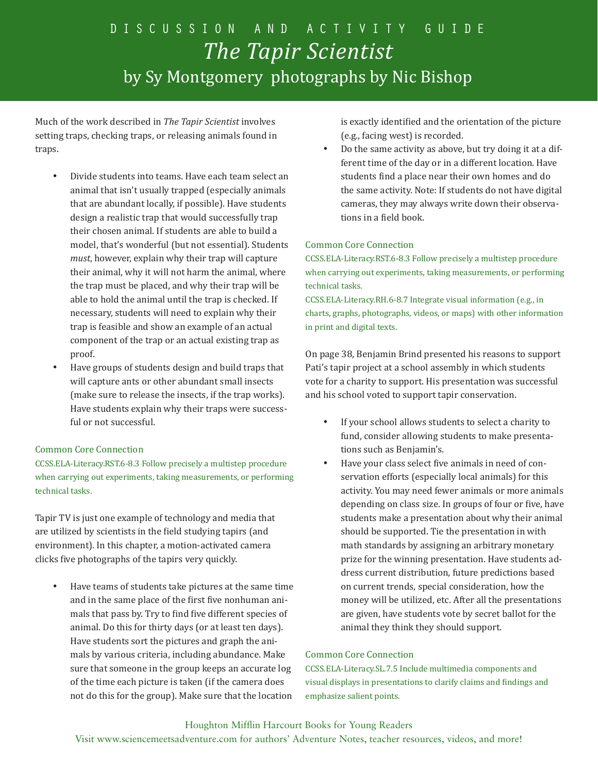Much of the work described in *The Tapir Scientist* involves setting traps, checking traps, or releasing animals found in traps.

- Divide students into teams. Have each team select an animal that isn't usually trapped (especially animals that are abundant locally, if possible). Have students design a realistic trap that would successfully trap their chosen animal. If students are able to build a model, that's wonderful (but not essential). Students *must*, however, explain why their trap will capture their animal, why it will not harm the animal, where the trap must be placed, and why their trap will be able to hold the animal until the trap is checked. If necessary, students will need to explain why their trap is feasible and show an example of an actual component of the trap or an actual existing trap as proof.
- • Have groups of students design and build traps that will capture ants or other abundant small insects (make sure to release the insects, if the trap works). Have students explain why their traps were successful or not successful.

#### Common Core Connection

CCSS.ELA-Literacy.RST.6-8.3 Follow precisely a multistep procedure when carrying out experiments, taking measurements, or performing technical tasks.

Tapir TV is just one example of technology and media that are utilized by scientists in the field studying tapirs (and environment). In this chapter, a motion-activated camera clicks five photographs of the tapirs very quickly.

Have teams of students take pictures at the same time and in the same place of the first five nonhuman animals that pass by. Try to find five different species of animal. Do this for thirty days (or at least ten days). Have students sort the pictures and graph the animals by various criteria, including abundance. Make sure that someone in the group keeps an accurate log of the time each picture is taken (if the camera does not do this for the group). Make sure that the location

is exactly identified and the orientation of the picture (e.g., facing west) is recorded.

Do the same activity as above, but try doing it at a different time of the day or in a different location. Have students find a place near their own homes and do the same activity. Note: If students do not have digital cameras, they may always write down their observations in a field book.

#### Common Core Connection

CCSS.ELA-Literacy.RST.6-8.3 Follow precisely a multistep procedure when carrying out experiments, taking measurements, or performing technical tasks.

CCSS.ELA-Literacy.RH.6-8.7 Integrate visual information (e.g., in charts, graphs, photographs, videos, or maps) with other information in print and digital texts.

On page 38, Benjamin Brind presented his reasons to support Pati's tapir project at a school assembly in which students vote for a charity to support. His presentation was successful and his school voted to support tapir conservation.

- • If your school allows students to select a charity to fund, consider allowing students to make presentations such as Benjamin's.
- Have your class select five animals in need of conservation efforts (especially local animals) for this activity. You may need fewer animals or more animals depending on class size. In groups of four or five, have students make a presentation about why their animal should be supported. Tie the presentation in with math standards by assigning an arbitrary monetary prize for the winning presentation. Have students address current distribution, future predictions based on current trends, special consideration, how the money will be utilized, etc. After all the presentations are given, have students vote by secret ballot for the animal they think they should support.

#### Common Core Connection

CCSS.ELA-Literacy.SL.7.5 Include multimedia components and visual displays in presentations to clarify claims and findings and emphasize salient points.

#### Houghton Mifflin Harcourt Books for Young Readers

Visit www.sciencemeetsadventure.com for authors' Adventure Notes, teacher resources, videos, and more!